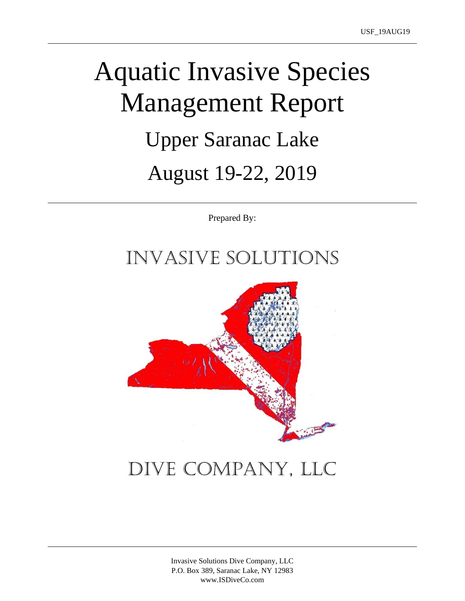# Aquatic Invasive Species Management Report Upper Saranac Lake August 19-22, 2019

Prepared By:

## Invasive Solutions



# Dive Company, LLC

Invasive Solutions Dive Company, LLC P.O. Box 389, Saranac Lake, NY 12983 www.ISDiveCo.com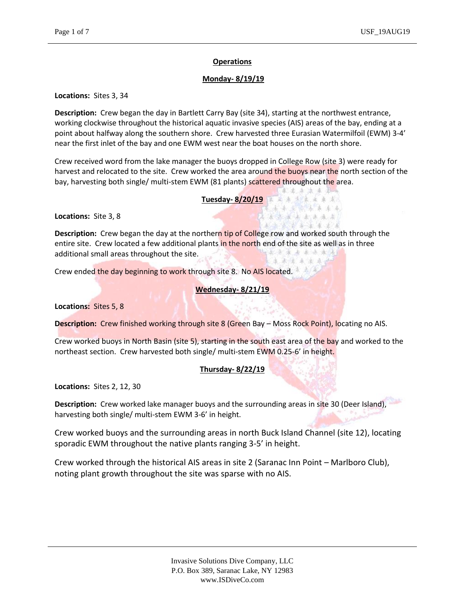#### **Operations**

#### **Monday- 8/19/19**

#### **Locations:** Sites 3, 34

**Description:** Crew began the day in Bartlett Carry Bay (site 34), starting at the northwest entrance, working clockwise throughout the historical aquatic invasive species (AIS) areas of the bay, ending at a point about halfway along the southern shore. Crew harvested three Eurasian Watermilfoil (EWM) 3-4' near the first inlet of the bay and one EWM west near the boat houses on the north shore.

Crew received word from the lake manager the buoys dropped in College Row (site 3) were ready for harvest and relocated to the site. Crew worked the area around the buoys near the north section of the bay, harvesting both single/ multi-stem EWM (81 plants) scattered throughout the area.

#### **Tuesday- 8/20/19**

未去未出来去。 美 赤 大 本 来 東 太 毛索希斯科蒂森希克 法成法法 机点流差

**Locations:** Site 3, 8

\*\*\*\*\*\*\*\* **Description:** Crew began the day at the northern tip of College row and worked south through the entire site. Crew located a few additional plants in the north end of the site as well as in three additional small areas throughout the site. 法完束 电电源水流 李承儒年安永中

Crew ended the day beginning to work through site 8. No AIS located.

#### **Wednesday- 8/21/19**

**Locations:** Sites 5, 8

**Description:** Crew finished working through site 8 (Green Bay – Moss Rock Point), locating no AIS.

Crew worked buoys in North Basin (site 5), starting in the south east area of the bay and worked to the northeast section. Crew harvested both single/ multi-stem EWM 0.25-6' in height.

#### **Thursday- 8/22/19**

**Locations:** Sites 2, 12, 30

**Description:** Crew worked lake manager buoys and the surrounding areas in site 30 (Deer Island), harvesting both single/ multi-stem EWM 3-6' in height.

Crew worked buoys and the surrounding areas in north Buck Island Channel (site 12), locating sporadic EWM throughout the native plants ranging 3-5' in height.

Crew worked through the historical AIS areas in site 2 (Saranac Inn Point – Marlboro Club), noting plant growth throughout the site was sparse with no AIS.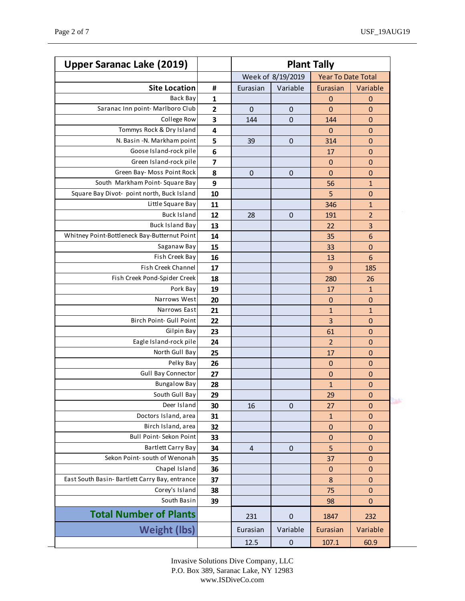| <b>Upper Saranac Lake (2019)</b>               |                         | <b>Plant Tally</b> |             |                           |                 |
|------------------------------------------------|-------------------------|--------------------|-------------|---------------------------|-----------------|
|                                                |                         | Week of 8/19/2019  |             | <b>Year To Date Total</b> |                 |
| <b>Site Location</b>                           | #                       | Eurasian           | Variable    | Eurasian                  | Variable        |
| Back Bay                                       | 1                       |                    |             | $\mathbf 0$               | $\mathbf 0$     |
| Saranac Inn point- Marlboro Club               | $\overline{\mathbf{c}}$ | 0                  | $\mathbf 0$ | 0                         | $\mathbf 0$     |
| College Row                                    | 3                       | 144                | $\pmb{0}$   | 144                       | $\mathbf 0$     |
| Tommys Rock & Dry Island                       | 4                       |                    |             | $\overline{0}$            | $\mathbf 0$     |
| N. Basin -N. Markham point                     | 5                       | 39                 | $\mathbf 0$ | 314                       | $\mathbf 0$     |
| Goose Island-rock pile                         | 6                       |                    |             | 17                        | $\mathbf 0$     |
| Green Island-rock pile                         | 7                       |                    |             | 0                         | $\mathbf 0$     |
| Green Bay- Moss Point Rock                     | 8                       | $\mathbf 0$        | 0           | 0                         | $\mathbf 0$     |
| South Markham Point-Square Bay                 | 9                       |                    |             | 56                        | $\mathbf{1}$    |
| Square Bay Divot- point north, Buck Island     | 10                      |                    |             | 5                         | $\mathbf 0$     |
| Little Square Bay                              | 11                      |                    |             | 346                       | $\mathbf{1}$    |
| <b>Buck Island</b>                             | 12                      | 28                 | $\pmb{0}$   | 191                       | $\overline{2}$  |
| <b>Buck Island Bay</b>                         | 13                      |                    |             | 22                        | 3               |
| Whitney Point-Bottleneck Bay-Butternut Point   | 14                      |                    |             | 35                        | 6               |
| Saganaw Bay                                    | 15                      |                    |             | 33                        | $\mathbf 0$     |
| Fish Creek Bay                                 | 16                      |                    |             | 13                        | $6\phantom{1}6$ |
| Fish Creek Channel                             | 17                      |                    |             | 9                         | 185             |
| Fish Creek Pond-Spider Creek                   | 18                      |                    |             | 280                       | 26              |
| Pork Bay                                       | 19                      |                    |             | 17                        | $\mathbf{1}$    |
| Narrows West                                   | 20                      |                    |             | $\mathbf 0$               | $\mathbf 0$     |
| Narrows East                                   | 21                      |                    |             | 1                         | $\mathbf{1}$    |
| Birch Point- Gull Point                        | 22                      |                    |             | 3                         | $\mathbf 0$     |
| Gilpin Bay                                     | 23                      |                    |             | 61                        | $\mathbf 0$     |
| Eagle Island-rock pile                         | 24                      |                    |             | $\overline{2}$            | $\mathbf 0$     |
| North Gull Bay                                 | 25                      |                    |             | 17                        | $\mathbf 0$     |
| Pelky Bay                                      | 26                      |                    |             | $\mathbf 0$               | $\mathbf 0$     |
| <b>Gull Bay Connector</b>                      | 27                      |                    |             | $\mathbf 0$               | $\mathbf 0$     |
| <b>Bungalow Bay</b>                            | 28                      |                    |             | 1                         | 0               |
| South Gull Bay                                 | 29                      |                    |             | 29                        | $\pmb{0}$       |
| Deer Island                                    | 30                      | 16                 | 0           | 27                        | $\mathbf 0$     |
| Doctors Island, area                           | 31                      |                    |             | $\mathbf{1}$              | $\pmb{0}$       |
| Birch Island, area                             | 32                      |                    |             | $\pmb{0}$                 | 0               |
| Bull Point- Sekon Point                        | 33                      |                    |             | $\mathbf 0$               | 0               |
| <b>Bartlett Carry Bay</b>                      | 34                      | 4                  | $\pmb{0}$   | 5                         | $\mathbf 0$     |
| Sekon Point- south of Wenonah                  | 35                      |                    |             | 37                        | 0               |
| Chapel Island                                  | 36                      |                    |             | $\pmb{0}$                 | $\pmb{0}$       |
| East South Basin- Bartlett Carry Bay, entrance | 37                      |                    |             | 8                         | $\mathbf 0$     |
| Corey's Island                                 | 38                      |                    |             | 75                        | 0               |
| South Basin                                    | 39                      |                    |             | 98                        | $\mathbf 0$     |
| <b>Total Number of Plants</b>                  |                         | 231                | 0           | 1847                      | 232             |
| <b>Weight (lbs)</b>                            |                         | Eurasian           | Variable    | Eurasian                  | Variable        |
|                                                |                         | 12.5               | $\pmb{0}$   | 107.1                     | 60.9            |

Invasive Solutions Dive Company, LLC P.O. Box 389, Saranac Lake, NY 12983 www.ISDiveCo.com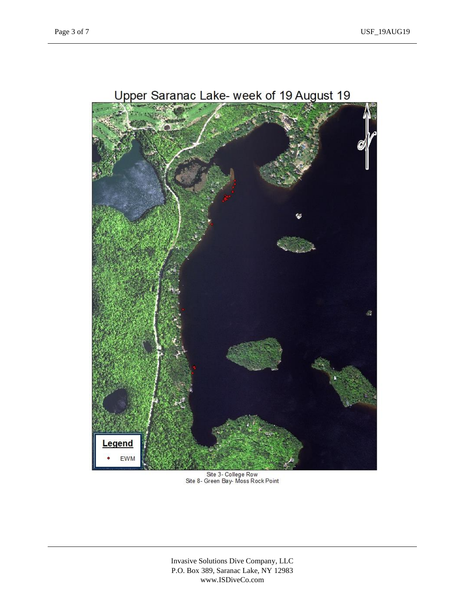

Site 3- College Row<br>Site 8- Green Bay-Moss Rock Point

Invasive Solutions Dive Company, LLC P.O. Box 389, Saranac Lake, NY 12983 www.ISDiveCo.com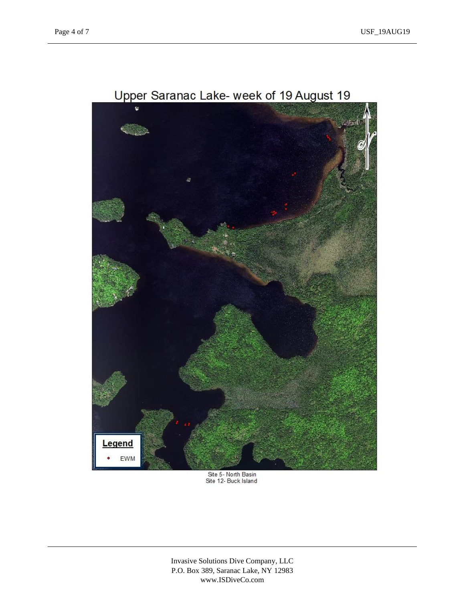

Upper Saranac Lake- week of 19 August 19

Site 5- North Basin<br>Site 12- Buck Island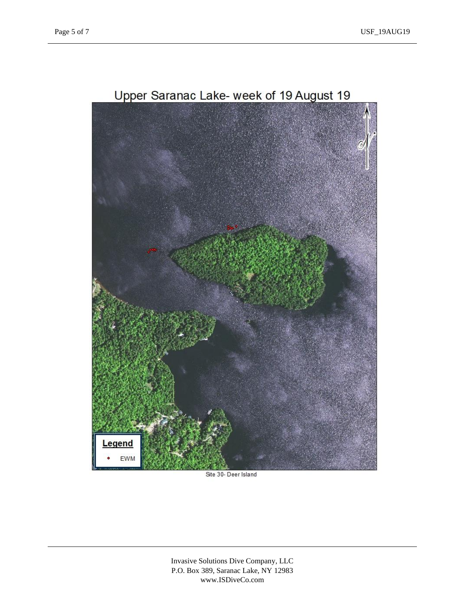

### Upper Saranac Lake- week of 19 August 19

Site 30- Deer Island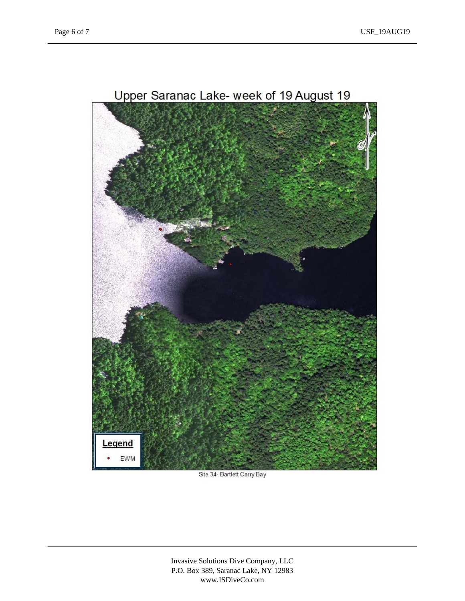

### Upper Saranac Lake- week of 19 August 19

Site 34- Bartlett Carry Bay